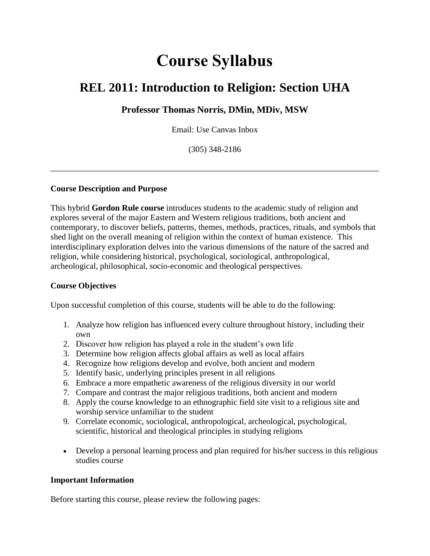# **Course Syllabus**

## **REL 2011: Introduction to Religion: Section UHA**

#### **Professor Thomas Norris, DMin, MDiv, MSW**

Email: Use Canvas Inbox

(305) 348-2186

#### **Course Description and Purpose**

This hybrid **Gordon Rule course** introduces students to the academic study of religion and explores several of the major Eastern and Western religious traditions, both ancient and contemporary, to discover beliefs, patterns, themes, methods, practices, rituals, and symbols that shed light on the overall meaning of religion within the context of human existence. This interdisciplinary exploration delves into the various dimensions of the nature of the sacred and religion, while considering historical, psychological, sociological, anthropological, archeological, philosophical, socio-economic and theological perspectives.

#### **Course Objectives**

Upon successful completion of this course, students will be able to do the following:

- 1. Analyze how religion has influenced every culture throughout history, including their own
- 2. Discover how religion has played a role in the student's own life
- 3. Determine how religion affects global affairs as well as local affairs
- 4. Recognize how religions develop and evolve, both ancient and modern
- 5. Identify basic, underlying principles present in all religions
- 6. Embrace a more empathetic awareness of the religious diversity in our world
- 7. Compare and contrast the major religious traditions, both ancient and modern
- 8. Apply the course knowledge to an ethnographic field site visit to a religious site and worship service unfamiliar to the student
- 9. Correlate economic, sociological, anthropological, archeological, psychological, scientific, historical and theological principles in studying religions
- Develop a personal learning process and plan required for his/her success in this religious studies course

#### **Important Information**

Before starting this course, please review the following pages: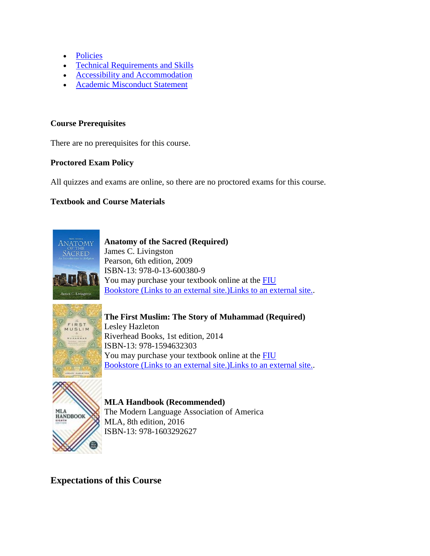- [Policies](https://fiu.instructure.com/courses/6367/pages/policies)
- [Technical Requirements and Skills](https://fiu.instructure.com/courses/6367/pages/technical-requirements-and-skills)
- [Accessibility and Accommodation](https://fiu.instructure.com/courses/6367/pages/accessibility-and-accommodation)
- [Academic Misconduct Statement](https://fiu.instructure.com/courses/6367/pages/academic-misconduct-statement)

#### **Course Prerequisites**

There are no prerequisites for this course.

#### **Proctored Exam Policy**

All quizzes and exams are online, so there are no proctored exams for this course.

#### **Textbook and Course Materials**



**Anatomy of the Sacred (Required)** James C. Livingston Pearson, 6th edition, 2009 ISBN-13: 978-0-13-600380-9 You may purchase your textbook online at the **FIU** Bookstore (Links to an external [site.\)Links to an external site..](http://fiu.bncollege.com/webapp/wcs/stores/servlet/BNCBHomePage?storeId=21551&catalogId=10001)



**The First Muslim: The Story of Muhammad (Required)** Lesley Hazleton Riverhead Books, 1st edition, 2014 ISBN-13: 978-1594632303 You may purchase your textbook online at the **FIU** Bookstore [\(Links to an external site.\)Links to an external site..](http://fiu.bncollege.com/webapp/wcs/stores/servlet/BNCBHomePage?storeId=21551&catalogId=10001)



**MLA Handbook (Recommended)** The Modern Language Association of America MLA, 8th edition, 2016 ISBN-13: 978-1603292627

## **Expectations of this Course**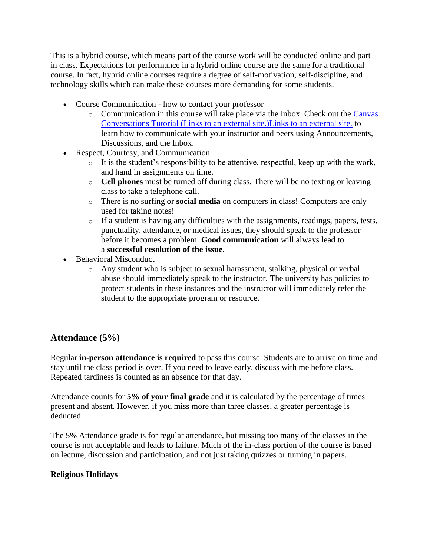This is a hybrid course, which means part of the course work will be conducted online and part in class. Expectations for performance in a hybrid online course are the same for a traditional course. In fact, hybrid online courses require a degree of self-motivation, self-discipline, and technology skills which can make these courses more demanding for some students.

- Course Communication how to contact your professor
	- o Communication in this course will take place via the Inbox. Check out the [Canvas](https://vimeo.com/canvaslms/212en)  Conversations Tutorial [\(Links to an external site.\)Links to an external site.](https://vimeo.com/canvaslms/212en) to learn how to communicate with your instructor and peers using Announcements, Discussions, and the Inbox.
- Respect, Courtesy, and Communication
	- o It is the student's responsibility to be attentive, respectful, keep up with the work, and hand in assignments on time.
	- o **Cell phones** must be turned off during class. There will be no texting or leaving class to take a telephone call.
	- o There is no surfing or **social media** on computers in class! Computers are only used for taking notes!
	- o If a student is having any difficulties with the assignments, readings, papers, tests, punctuality, attendance, or medical issues, they should speak to the professor before it becomes a problem. **Good communication** will always lead to a **successful resolution of the issue.**
- **Behavioral Misconduct** 
	- o Any student who is subject to sexual harassment, stalking, physical or verbal abuse should immediately speak to the instructor. The university has policies to protect students in these instances and the instructor will immediately refer the student to the appropriate program or resource.

## **Attendance (5%)**

Regular **in-person attendance is required** to pass this course. Students are to arrive on time and stay until the class period is over. If you need to leave early, discuss with me before class. Repeated tardiness is counted as an absence for that day.

Attendance counts for **5% of your final grade** and it is calculated by the percentage of times present and absent. However, if you miss more than three classes, a greater percentage is deducted.

The 5% Attendance grade is for regular attendance, but missing too many of the classes in the course is not acceptable and leads to failure. Much of the in-class portion of the course is based on lecture, discussion and participation, and not just taking quizzes or turning in papers.

#### **Religious Holidays**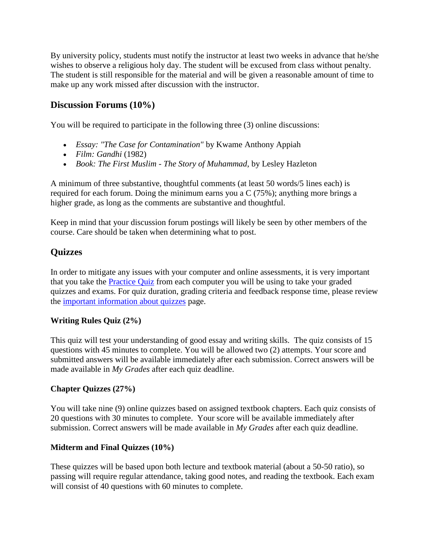By university policy, students must notify the instructor at least two weeks in advance that he/she wishes to observe a religious holy day. The student will be excused from class without penalty. The student is still responsible for the material and will be given a reasonable amount of time to make up any work missed after discussion with the instructor.

#### **Discussion Forums (10%)**

You will be required to participate in the following three (3) online discussions:

- *Essay: "The Case for Contamination"* by Kwame Anthony Appiah
- *Film: Gandhi* (1982)
- *Book: The First Muslim - The Story of Muhammad*, by Lesley Hazleton

A minimum of three substantive, thoughtful comments (at least 50 words/5 lines each) is required for each forum. Doing the minimum earns you a C (75%); anything more brings a higher grade, as long as the comments are substantive and thoughtful.

Keep in mind that your discussion forum postings will likely be seen by other members of the course. Care should be taken when determining what to post.

## **Quizzes**

In order to mitigate any issues with your computer and online assessments, it is very important that you take the [Practice Quiz](https://fiu.instructure.com/courses/6367/quizzes/12265) from each computer you will be using to take your graded quizzes and exams. For quiz duration, grading criteria and feedback response time, please review the [important information about quizzes](https://fiu.instructure.com/courses/6367/pages/important-information-about-quizzes) page.

#### **Writing Rules Quiz (2%)**

This quiz will test your understanding of good essay and writing skills. The quiz consists of 15 questions with 45 minutes to complete. You will be allowed two (2) attempts. Your score and submitted answers will be available immediately after each submission. Correct answers will be made available in *My Grades* after each quiz deadline.

#### **Chapter Quizzes (27%)**

You will take nine (9) online quizzes based on assigned textbook chapters. Each quiz consists of 20 questions with 30 minutes to complete. Your score will be available immediately after submission. Correct answers will be made available in *My Grades* after each quiz deadline.

#### **Midterm and Final Quizzes (10%)**

These quizzes will be based upon both lecture and textbook material (about a 50-50 ratio), so passing will require regular attendance, taking good notes, and reading the textbook. Each exam will consist of 40 questions with 60 minutes to complete.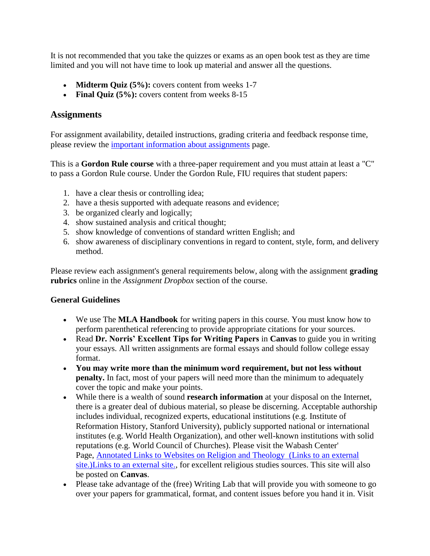It is not recommended that you take the quizzes or exams as an open book test as they are time limited and you will not have time to look up material and answer all the questions.

- **Midterm Quiz (5%):** covers content from weeks 1-7
- **Final Quiz (5%):** covers content from weeks 8-15

#### **Assignments**

For assignment availability, detailed instructions, grading criteria and feedback response time, please review the [important information about assignments](https://fiu.instructure.com/courses/6367/pages/important-information-about-assignments) page.

This is a **Gordon Rule course** with a three-paper requirement and you must attain at least a "C" to pass a Gordon Rule course. Under the Gordon Rule, FIU requires that student papers:

- 1. have a clear thesis or controlling idea;
- 2. have a thesis supported with adequate reasons and evidence;
- 3. be organized clearly and logically;
- 4. show sustained analysis and critical thought;
- 5. show knowledge of conventions of standard written English; and
- 6. show awareness of disciplinary conventions in regard to content, style, form, and delivery method.

Please review each assignment's general requirements below, along with the assignment **grading rubrics** online in the *Assignment Dropbox* section of the course.

#### **General Guidelines**

- We use The **MLA Handbook** for writing papers in this course. You must know how to perform parenthetical referencing to provide appropriate citations for your sources.
- Read **Dr. Norris' Excellent Tips for Writing Papers** in **Canvas** to guide you in writing your essays. All written assignments are formal essays and should follow college essay format.
- **You may write more than the minimum word requirement, but not less without penalty.** In fact, most of your papers will need more than the minimum to adequately cover the topic and make your points.
- While there is a wealth of sound **research information** at your disposal on the Internet, there is a greater deal of dubious material, so please be discerning. Acceptable authorship includes individual, recognized experts, educational institutions (e.g. Institute of Reformation History, Stanford University), publicly supported national or international institutes (e.g. World Health Organization), and other well-known institutions with solid reputations (e.g. World Council of Churches). Please visit the Wabash Center' Page, [Annotated Links to Websites on Religion and Theology \(Links to an external](https://www.wabashcenter.wabash.edu/resources/website-on-religion/)  [site.\)Links to an external site.,](https://www.wabashcenter.wabash.edu/resources/website-on-religion/) for excellent religious studies sources. This site will also be posted on **Canvas**.
- Please take advantage of the (free) Writing Lab that will provide you with someone to go over your papers for grammatical, format, and content issues before you hand it in. Visit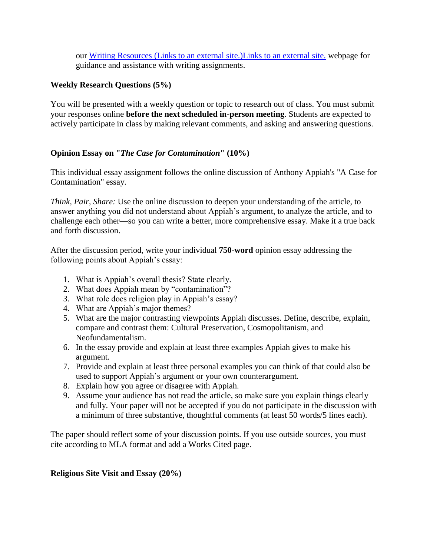our Writing Resources [\(Links to an external site.\)Links to an external site.](http://online.fiu.edu/app/webroot/html/blackboardlearn/resources/writing_resources/) webpage for guidance and assistance with writing assignments.

#### **Weekly Research Questions (5%)**

You will be presented with a weekly question or topic to research out of class. You must submit your responses online **before the next scheduled in-person meeting**. Students are expected to actively participate in class by making relevant comments, and asking and answering questions.

#### **Opinion Essay on "***The Case for Contamination***" (10%)**

This individual essay assignment follows the online discussion of Anthony Appiah's "A Case for Contamination" essay.

*Think, Pair, Share:* Use the online discussion to deepen your understanding of the article, to answer anything you did not understand about Appiah's argument, to analyze the article, and to challenge each other—so you can write a better, more comprehensive essay. Make it a true back and forth discussion.

After the discussion period, write your individual **750-word** opinion essay addressing the following points about Appiah's essay:

- 1. What is Appiah's overall thesis? State clearly.
- 2. What does Appiah mean by "contamination"?
- 3. What role does religion play in Appiah's essay?
- 4. What are Appiah's major themes?
- 5. What are the major contrasting viewpoints Appiah discusses. Define, describe, explain, compare and contrast them: Cultural Preservation, Cosmopolitanism, and Neofundamentalism.
- 6. In the essay provide and explain at least three examples Appiah gives to make his argument.
- 7. Provide and explain at least three personal examples you can think of that could also be used to support Appiah's argument or your own counterargument.
- 8. Explain how you agree or disagree with Appiah.
- 9. Assume your audience has not read the article, so make sure you explain things clearly and fully. Your paper will not be accepted if you do not participate in the discussion with a minimum of three substantive, thoughtful comments (at least 50 words/5 lines each).

The paper should reflect some of your discussion points. If you use outside sources, you must cite according to MLA format and add a Works Cited page.

#### **Religious Site Visit and Essay (20%)**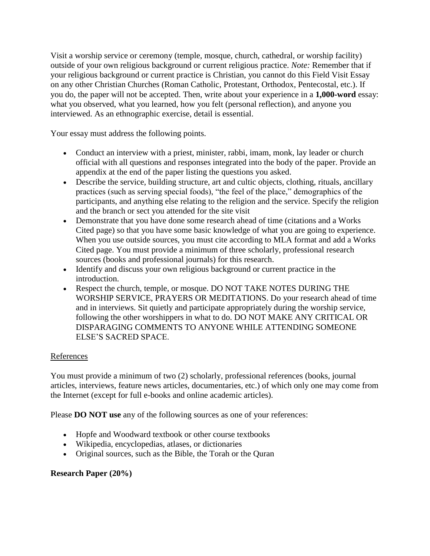Visit a worship service or ceremony (temple, mosque, church, cathedral, or worship facility) outside of your own religious background or current religious practice. *Note:* Remember that if your religious background or current practice is Christian, you cannot do this Field Visit Essay on any other Christian Churches (Roman Catholic, Protestant, Orthodox, Pentecostal, etc.). If you do, the paper will not be accepted. Then, write about your experience in a **1,000-word** essay: what you observed, what you learned, how you felt (personal reflection), and anyone you interviewed. As an ethnographic exercise, detail is essential.

Your essay must address the following points.

- Conduct an interview with a priest, minister, rabbi, imam, monk, lay leader or church official with all questions and responses integrated into the body of the paper. Provide an appendix at the end of the paper listing the questions you asked.
- Describe the service, building structure, art and cultic objects, clothing, rituals, ancillary practices (such as serving special foods), "the feel of the place," demographics of the participants, and anything else relating to the religion and the service. Specify the religion and the branch or sect you attended for the site visit
- Demonstrate that you have done some research ahead of time (citations and a Works Cited page) so that you have some basic knowledge of what you are going to experience. When you use outside sources, you must cite according to MLA format and add a Works Cited page. You must provide a minimum of three scholarly, professional research sources (books and professional journals) for this research.
- Identify and discuss your own religious background or current practice in the introduction.
- Respect the church, temple, or mosque. DO NOT TAKE NOTES DURING THE WORSHIP SERVICE, PRAYERS OR MEDITATIONS. Do your research ahead of time and in interviews. Sit quietly and participate appropriately during the worship service, following the other worshippers in what to do. DO NOT MAKE ANY CRITICAL OR DISPARAGING COMMENTS TO ANYONE WHILE ATTENDING SOMEONE ELSE'S SACRED SPACE.

#### References

You must provide a minimum of two (2) scholarly, professional references (books, journal articles, interviews, feature news articles, documentaries, etc.) of which only one may come from the Internet (except for full e-books and online academic articles).

Please **DO NOT use** any of the following sources as one of your references:

- Hopfe and Woodward textbook or other course textbooks
- Wikipedia, encyclopedias, atlases, or dictionaries
- Original sources, such as the Bible, the Torah or the Quran

#### **Research Paper (20%)**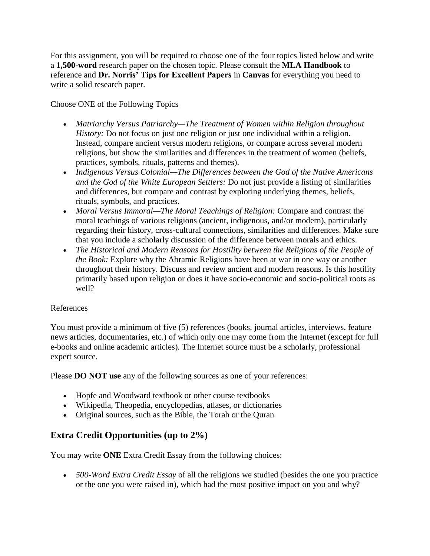For this assignment, you will be required to choose one of the four topics listed below and write a **1,500-word** research paper on the chosen topic. Please consult the **MLA Handbook** to reference and **Dr. Norris' Tips for Excellent Papers** in **Canvas** for everything you need to write a solid research paper.

#### Choose ONE of the Following Topics

- *Matriarchy Versus Patriarchy—The Treatment of Women within Religion throughout History:* Do not focus on just one religion or just one individual within a religion. Instead, compare ancient versus modern religions, or compare across several modern religions, but show the similarities and differences in the treatment of women (beliefs, practices, symbols, rituals, patterns and themes).
- *Indigenous Versus Colonial—The Differences between the God of the Native Americans and the God of the White European Settlers:* Do not just provide a listing of similarities and differences, but compare and contrast by exploring underlying themes, beliefs, rituals, symbols, and practices.
- *Moral Versus Immoral—The Moral Teachings of Religion:* Compare and contrast the moral teachings of various religions (ancient, indigenous, and/or modern), particularly regarding their history, cross-cultural connections, similarities and differences. Make sure that you include a scholarly discussion of the difference between morals and ethics.
- The Historical and Modern Reasons for Hostility between the Religions of the People of *the Book:* Explore why the Abramic Religions have been at war in one way or another throughout their history. Discuss and review ancient and modern reasons. Is this hostility primarily based upon religion or does it have socio-economic and socio-political roots as well?

#### References

You must provide a minimum of five (5) references (books, journal articles, interviews, feature news articles, documentaries, etc.) of which only one may come from the Internet (except for full e-books and online academic articles). The Internet source must be a scholarly, professional expert source.

Please **DO NOT use** any of the following sources as one of your references:

- Hopfe and Woodward textbook or other course textbooks
- Wikipedia, Theopedia, encyclopedias, atlases, or dictionaries
- Original sources, such as the Bible, the Torah or the Quran

## **Extra Credit Opportunities (up to 2%)**

You may write **ONE** Extra Credit Essay from the following choices:

• *500-Word Extra Credit Essay* of all the religions we studied (besides the one you practice or the one you were raised in), which had the most positive impact on you and why?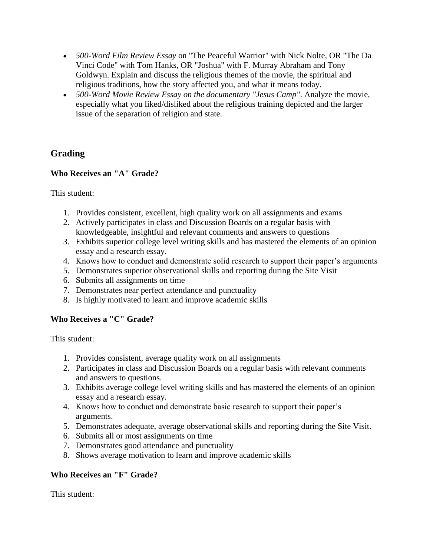- *500-Word Film Review Essay* on "The Peaceful Warrior" with Nick Nolte, OR "The Da Vinci Code" with Tom Hanks, OR "Joshua" with F. Murray Abraham and Tony Goldwyn. Explain and discuss the religious themes of the movie, the spiritual and religious traditions, how the story affected you, and what it means today.
- *500-Word Movie Review Essay on the documentary "Jesus Camp"*. Analyze the movie, especially what you liked/disliked about the religious training depicted and the larger issue of the separation of religion and state.

## **Grading**

#### **Who Receives an "A" Grade?**

This student:

- 1. Provides consistent, excellent, high quality work on all assignments and exams
- 2. Actively participates in class and Discussion Boards on a regular basis with knowledgeable, insightful and relevant comments and answers to questions
- 3. Exhibits superior college level writing skills and has mastered the elements of an opinion essay and a research essay.
- 4. Knows how to conduct and demonstrate solid research to support their paper's arguments
- 5. Demonstrates superior observational skills and reporting during the Site Visit
- 6. Submits all assignments on time
- 7. Demonstrates near perfect attendance and punctuality
- 8. Is highly motivated to learn and improve academic skills

#### **Who Receives a "C" Grade?**

This student:

- 1. Provides consistent, average quality work on all assignments
- 2. Participates in class and Discussion Boards on a regular basis with relevant comments and answers to questions.
- 3. Exhibits average college level writing skills and has mastered the elements of an opinion essay and a research essay.
- 4. Knows how to conduct and demonstrate basic research to support their paper's arguments.
- 5. Demonstrates adequate, average observational skills and reporting during the Site Visit.
- 6. Submits all or most assignments on time
- 7. Demonstrates good attendance and punctuality
- 8. Shows average motivation to learn and improve academic skills

#### **Who Receives an "F" Grade?**

This student: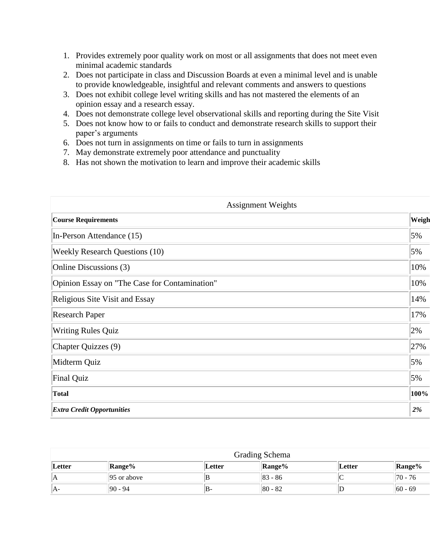- 1. Provides extremely poor quality work on most or all assignments that does not meet even minimal academic standards
- 2. Does not participate in class and Discussion Boards at even a minimal level and is unable to provide knowledgeable, insightful and relevant comments and answers to questions
- 3. Does not exhibit college level writing skills and has not mastered the elements of an opinion essay and a research essay.
- 4. Does not demonstrate college level observational skills and reporting during the Site Visit
- 5. Does not know how to or fails to conduct and demonstrate research skills to support their paper's arguments
- 6. Does not turn in assignments on time or fails to turn in assignments
- 7. May demonstrate extremely poor attendance and punctuality
- 8. Has not shown the motivation to learn and improve their academic skills

| <b>Assignment Weights</b> |  |  |  |  |
|---------------------------|--|--|--|--|
| Weigh                     |  |  |  |  |
| 5%                        |  |  |  |  |
| 5%                        |  |  |  |  |
| 10%                       |  |  |  |  |
| 10%                       |  |  |  |  |
| 14%                       |  |  |  |  |
| 17%                       |  |  |  |  |
| 2%                        |  |  |  |  |
| 27%                       |  |  |  |  |
| 5%                        |  |  |  |  |
| 5%                        |  |  |  |  |
| 100%                      |  |  |  |  |
| $2\%$                     |  |  |  |  |
|                           |  |  |  |  |

|        | Grading Schema          |        |               |        |               |  |  |  |  |
|--------|-------------------------|--------|---------------|--------|---------------|--|--|--|--|
| Letter | <b>Range%</b>           | Letter | <b>Range%</b> | Letter | <b>Range%</b> |  |  |  |  |
| ΙA     | $ 95 \text{ or above} $ | B      | $ 83 - 86 $   | ◡      | $170 - 76$    |  |  |  |  |
| IA-    | $ 90 - 94$              | IB-    | 80 - 82       |        | $ 60 - 69 $   |  |  |  |  |